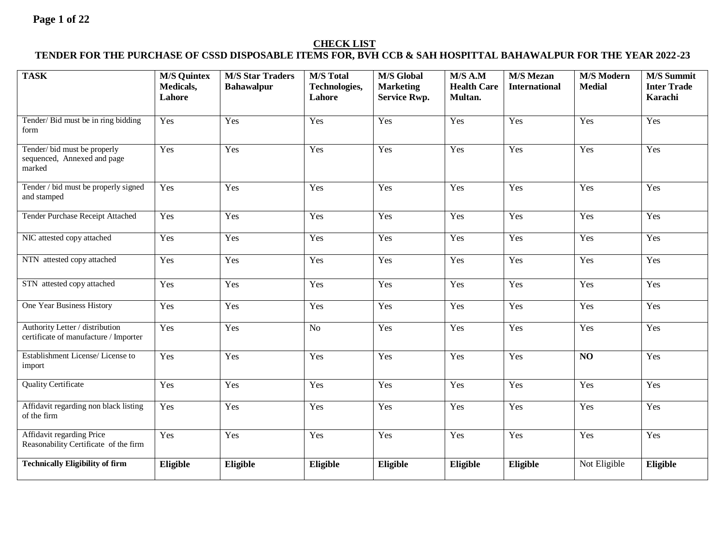### **CHECK LIST**

### **TENDER FOR THE PURCHASE OF CSSD DISPOSABLE ITEMS FOR, BVH CCB & SAH HOSPITTAL BAHAWALPUR FOR THE YEAR 2022-23**

| <b>TASK</b>                                                              | <b>M/S Quintex</b><br>Medicals,<br>Lahore | <b>M/S Star Traders</b><br><b>Bahawalpur</b> | <b>M/S</b> Total<br>Technologies,<br>Lahore | <b>M/S Global</b><br><b>Marketing</b><br><b>Service Rwp.</b> | M/S A.M<br><b>Health Care</b><br>Multan. | <b>M/S Mezan</b><br><b>International</b> | <b>M/S Modern</b><br><b>Medial</b> | <b>M/S Summit</b><br><b>Inter Trade</b><br>Karachi |
|--------------------------------------------------------------------------|-------------------------------------------|----------------------------------------------|---------------------------------------------|--------------------------------------------------------------|------------------------------------------|------------------------------------------|------------------------------------|----------------------------------------------------|
| Tender/Bid must be in ring bidding<br>form                               | Yes                                       | Yes                                          | Yes                                         | Yes                                                          | Yes                                      | Yes                                      | Yes                                | Yes                                                |
| Tender/bid must be properly<br>sequenced, Annexed and page<br>marked     | Yes                                       | Yes                                          | Yes                                         | Yes                                                          | Yes                                      | Yes                                      | Yes                                | Yes                                                |
| Tender / bid must be properly signed<br>and stamped                      | Yes                                       | Yes                                          | Yes                                         | Yes                                                          | Yes                                      | Yes                                      | $\overline{Y}_{\text{es}}$         | Yes                                                |
| Tender Purchase Receipt Attached                                         | Yes                                       | Yes                                          | Yes                                         | Yes                                                          | Yes                                      | Yes                                      | Yes                                | Yes                                                |
| NIC attested copy attached                                               | Yes                                       | Yes                                          | Yes                                         | Yes                                                          | Yes                                      | Yes                                      | Yes                                | Yes                                                |
| NTN attested copy attached                                               | Yes                                       | Yes                                          | Yes                                         | Yes                                                          | Yes                                      | Yes                                      | Yes                                | Yes                                                |
| STN attested copy attached                                               | Yes                                       | Yes                                          | Yes                                         | Yes                                                          | Yes                                      | Yes                                      | Yes                                | Yes                                                |
| One Year Business History                                                | Yes                                       | Yes                                          | Yes                                         | Yes                                                          | Yes                                      | Yes                                      | Yes                                | Yes                                                |
| Authority Letter / distribution<br>certificate of manufacture / Importer | Yes                                       | Yes                                          | N <sub>o</sub>                              | Yes                                                          | Yes                                      | Yes                                      | Yes                                | Yes                                                |
| Establishment License/License to<br>import                               | Yes                                       | Yes                                          | Yes                                         | Yes                                                          | Yes                                      | Yes                                      | NO                                 | Yes                                                |
| <b>Quality Certificate</b>                                               | Yes                                       | Yes                                          | Yes                                         | Yes                                                          | Yes                                      | Yes                                      | Yes                                | Yes                                                |
| Affidavit regarding non black listing<br>of the firm                     | Yes                                       | Yes                                          | Yes                                         | Yes                                                          | Yes                                      | Yes                                      | Yes                                | Yes                                                |
| Affidavit regarding Price<br>Reasonability Certificate of the firm       | Yes                                       | Yes                                          | Yes                                         | Yes                                                          | Yes                                      | Yes                                      | Yes                                | Yes                                                |
| <b>Technically Eligibility of firm</b>                                   | Eligible                                  | Eligible                                     | Eligible                                    | Eligible                                                     | Eligible                                 | Eligible                                 | Not Eligible                       | Eligible                                           |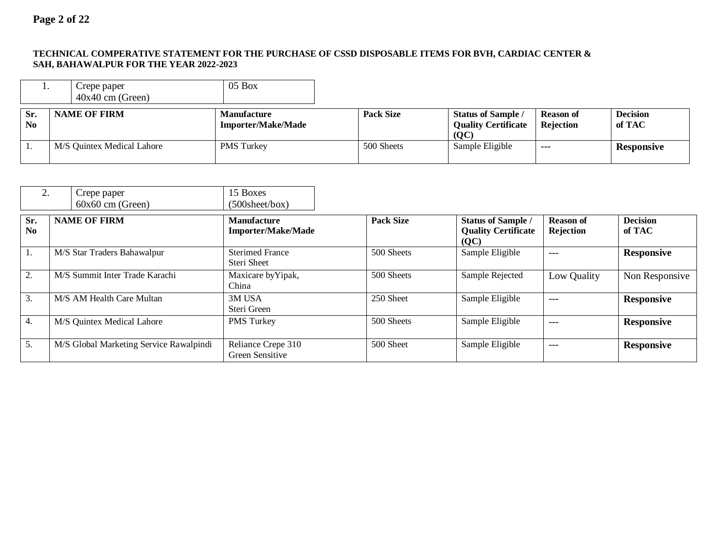#### **TECHNICAL COMPERATIVE STATEMENT FOR THE PURCHASE OF CSSD DISPOSABLE ITEMS FOR BVH, CARDIAC CENTER & SAH, BAHAWALPUR FOR THE YEAR 2022-2023**

| . .                   | Crepe paper<br>$40x40$ cm (Green) | $05$ Box                                 |                  |                                                                                                 |                               |                           |
|-----------------------|-----------------------------------|------------------------------------------|------------------|-------------------------------------------------------------------------------------------------|-------------------------------|---------------------------|
| Sr.<br>N <sub>0</sub> | <b>NAME OF FIRM</b>               | Manufacture<br><b>Importer/Make/Made</b> | <b>Pack Size</b> | <b>Status of Sample /</b><br><b>Quality Certificate</b><br>$\left( \mathbf{Q}\mathbf{C}\right)$ | <b>Reason of</b><br>Rejection | <b>Decision</b><br>of TAC |
|                       | M/S Quintex Medical Lahore        | <b>PMS</b> Turkey                        | 500 Sheets       | Sample Eligible                                                                                 | $---$                         | <b>Responsive</b>         |

| 2.                    | Crepe paper<br>$60x60$ cm (Green)       | 15 Boxes<br>$(500$ sheet/box)                   |                  |                                                                 |                               |                           |
|-----------------------|-----------------------------------------|-------------------------------------------------|------------------|-----------------------------------------------------------------|-------------------------------|---------------------------|
| Sr.<br>N <sub>0</sub> | <b>NAME OF FIRM</b>                     | <b>Manufacture</b><br><b>Importer/Make/Made</b> | <b>Pack Size</b> | <b>Status of Sample /</b><br><b>Quality Certificate</b><br>(QC) | <b>Reason of</b><br>Rejection | <b>Decision</b><br>of TAC |
| I.                    | M/S Star Traders Bahawalpur             | <b>Sterimed France</b><br>Steri Sheet           | 500 Sheets       | Sample Eligible                                                 | ---                           | <b>Responsive</b>         |
| 2.                    | M/S Summit Inter Trade Karachi          | Maxicare by Yipak,<br>China                     | 500 Sheets       | Sample Rejected                                                 | Low Quality                   | Non Responsive            |
| 3.                    | M/S AM Health Care Multan               | 3M USA<br>Steri Green                           | 250 Sheet        | Sample Eligible                                                 | $---$                         | <b>Responsive</b>         |
| 4.                    | M/S Quintex Medical Lahore              | PMS Turkey                                      | 500 Sheets       | Sample Eligible                                                 | $---$                         | <b>Responsive</b>         |
| 5.                    | M/S Global Marketing Service Rawalpindi | Reliance Crepe 310<br>Green Sensitive           | 500 Sheet        | Sample Eligible                                                 | $---$                         | <b>Responsive</b>         |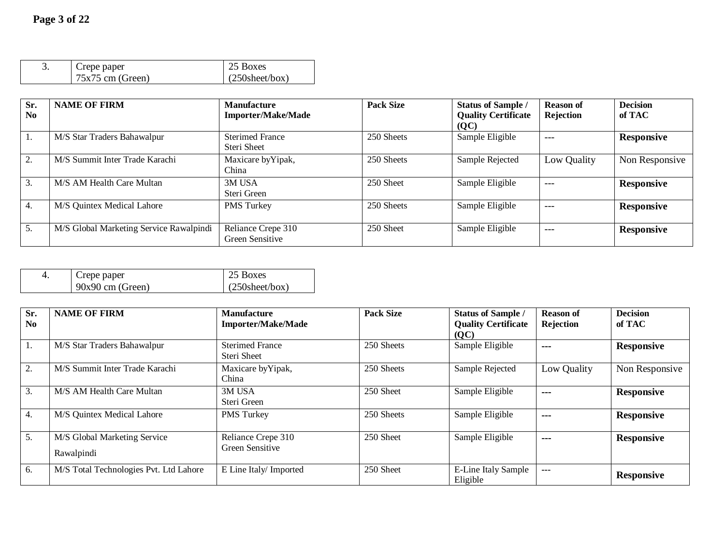| Crepe paper<br>$75x75$ cm (Green) | 25 Boxes<br>$(250\text{sheet/box})$ |
|-----------------------------------|-------------------------------------|
|                                   |                                     |

| Sr.<br>N <sub>0</sub> | <b>NAME OF FIRM</b>                     | <b>Manufacture</b><br><b>Importer/Make/Made</b> | <b>Pack Size</b> | <b>Status of Sample /</b><br><b>Quality Certificate</b><br>(QC) | <b>Reason of</b><br>Rejection | <b>Decision</b><br>of TAC |
|-----------------------|-----------------------------------------|-------------------------------------------------|------------------|-----------------------------------------------------------------|-------------------------------|---------------------------|
| 1.                    | M/S Star Traders Bahawalpur             | <b>Sterimed France</b><br>Steri Sheet           | 250 Sheets       | Sample Eligible                                                 | $---$                         | <b>Responsive</b>         |
| 2.                    | M/S Summit Inter Trade Karachi          | Maxicare by Yipak,<br>China                     | 250 Sheets       | Sample Rejected                                                 | Low Quality                   | Non Responsive            |
| 3.                    | M/S AM Health Care Multan               | 3M USA<br>Steri Green                           | 250 Sheet        | Sample Eligible                                                 | $---$                         | <b>Responsive</b>         |
| 4.                    | M/S Quintex Medical Lahore              | PMS Turkey                                      | 250 Sheets       | Sample Eligible                                                 | $---$                         | <b>Responsive</b>         |
| 5.                    | M/S Global Marketing Service Rawalpindi | Reliance Crepe 310<br>Green Sensitive           | 250 Sheet        | Sample Eligible                                                 | $---$                         | <b>Responsive</b>         |

| Crepe paper        | $\vert$ 25 Boxes        |
|--------------------|-------------------------|
| $90x90$ cm (Green) | $(250\text{sheet/box})$ |

| Sr.<br>N <sub>0</sub> | <b>NAME OF FIRM</b>                        | <b>Manufacture</b><br><b>Importer/Make/Made</b> | <b>Pack Size</b> | <b>Status of Sample /</b><br><b>Quality Certificate</b><br>(QC) | <b>Reason of</b><br>Rejection | <b>Decision</b><br>of TAC |
|-----------------------|--------------------------------------------|-------------------------------------------------|------------------|-----------------------------------------------------------------|-------------------------------|---------------------------|
| 1.                    | M/S Star Traders Bahawalpur                | <b>Sterimed France</b><br>Steri Sheet           | 250 Sheets       | Sample Eligible                                                 | $\sim$                        | <b>Responsive</b>         |
| 2.                    | M/S Summit Inter Trade Karachi             | Maxicare by Yipak,<br>China                     | 250 Sheets       | Sample Rejected                                                 | Low Quality                   | Non Responsive            |
| 3.                    | M/S AM Health Care Multan                  | 3M USA<br>Steri Green                           | 250 Sheet        | Sample Eligible                                                 | $- - -$                       | <b>Responsive</b>         |
| 4.                    | M/S Quintex Medical Lahore                 | <b>PMS</b> Turkey                               | 250 Sheets       | Sample Eligible                                                 | $- - -$                       | <b>Responsive</b>         |
| 5.                    | M/S Global Marketing Service<br>Rawalpindi | Reliance Crepe 310<br><b>Green Sensitive</b>    | 250 Sheet        | Sample Eligible                                                 | $- - -$                       | <b>Responsive</b>         |
| 6.                    | M/S Total Technologies Pvt. Ltd Lahore     | E Line Italy/ Imported                          | 250 Sheet        | <b>E-Line Italy Sample</b><br>Eligible                          | $\overline{a}$                | <b>Responsive</b>         |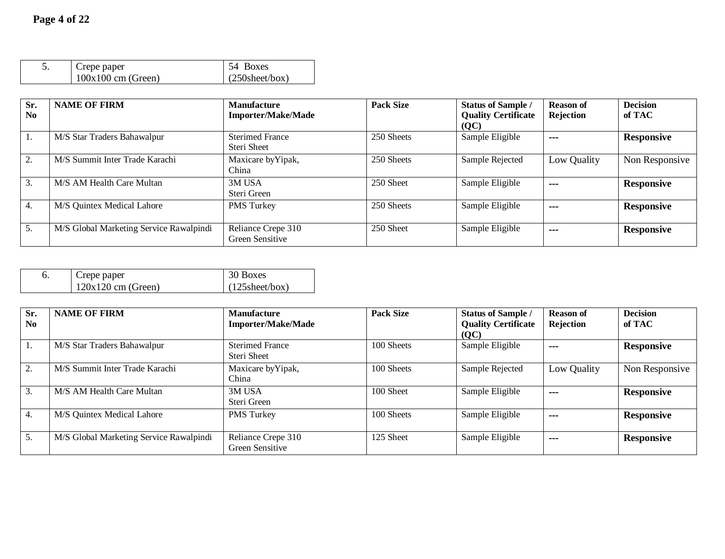| Crepe paper          | 54 Boxes                |
|----------------------|-------------------------|
| $100x100$ cm (Green) | $(250\text{sheet/box})$ |

| Sr.<br>N <sub>0</sub> | <b>NAME OF FIRM</b>                     | <b>Manufacture</b><br><b>Importer/Make/Made</b> | <b>Pack Size</b> | <b>Status of Sample /</b><br><b>Quality Certificate</b> | <b>Reason of</b><br>Rejection | <b>Decision</b><br>of TAC |
|-----------------------|-----------------------------------------|-------------------------------------------------|------------------|---------------------------------------------------------|-------------------------------|---------------------------|
| 1.                    | M/S Star Traders Bahawalpur             | <b>Sterimed France</b><br>Steri Sheet           | 250 Sheets       | (QC)<br>Sample Eligible                                 | $- - -$                       | <b>Responsive</b>         |
| 2.                    | M/S Summit Inter Trade Karachi          | Maxicare by Yipak,<br>China                     | 250 Sheets       | Sample Rejected                                         | Low Quality                   | Non Responsive            |
| 3.                    | M/S AM Health Care Multan               | 3M USA<br>Steri Green                           | 250 Sheet        | Sample Eligible                                         | ---                           | <b>Responsive</b>         |
| 4.                    | M/S Quintex Medical Lahore              | <b>PMS</b> Turkey                               | 250 Sheets       | Sample Eligible                                         | $- - -$                       | <b>Responsive</b>         |
| 5.                    | M/S Global Marketing Service Rawalpindi | Reliance Crepe 310<br>Green Sensitive           | 250 Sheet        | Sample Eligible                                         | ---                           | <b>Responsive</b>         |

| Crepe paper          | 30 Boxes                |
|----------------------|-------------------------|
| $120x120$ cm (Green) | $(125\text{sheet/box})$ |

| Sr.<br>N <sub>0</sub> | <b>NAME OF FIRM</b>                     | <b>Manufacture</b><br><b>Importer/Make/Made</b> | <b>Pack Size</b> | <b>Status of Sample /</b><br><b>Quality Certificate</b><br>(QC) | <b>Reason of</b><br><b>Rejection</b> | <b>Decision</b><br>of TAC |
|-----------------------|-----------------------------------------|-------------------------------------------------|------------------|-----------------------------------------------------------------|--------------------------------------|---------------------------|
| 1.                    | M/S Star Traders Bahawalpur             | <b>Sterimed France</b><br>Steri Sheet           | 100 Sheets       | Sample Eligible                                                 | $- - -$                              | <b>Responsive</b>         |
| 2.                    | M/S Summit Inter Trade Karachi          | Maxicare by Yipak,<br>China                     | 100 Sheets       | Sample Rejected                                                 | Low Quality                          | Non Responsive            |
| 3.                    | M/S AM Health Care Multan               | 3M USA<br>Steri Green                           | 100 Sheet        | Sample Eligible                                                 | $- - -$                              | <b>Responsive</b>         |
| 4.                    | M/S Quintex Medical Lahore              | <b>PMS</b> Turkey                               | 100 Sheets       | Sample Eligible                                                 | $- - -$                              | <b>Responsive</b>         |
| 5.                    | M/S Global Marketing Service Rawalpindi | Reliance Crepe 310<br>Green Sensitive           | 125 Sheet        | Sample Eligible                                                 | $- - -$                              | <b>Responsive</b>         |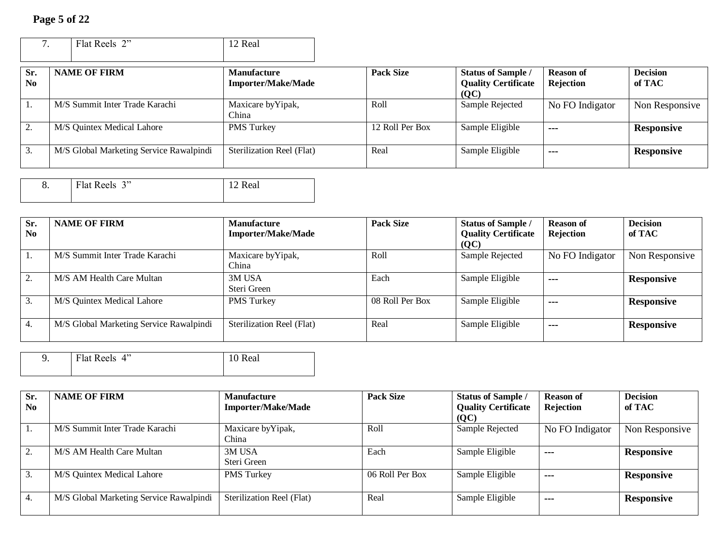## **Page 5 of 22**

|                 | Flat Reels 2"                           | 12 Real                                         |                  |                                                                 |                               |                           |
|-----------------|-----------------------------------------|-------------------------------------------------|------------------|-----------------------------------------------------------------|-------------------------------|---------------------------|
| Sr.<br>$\bf No$ | <b>NAME OF FIRM</b>                     | <b>Manufacture</b><br><b>Importer/Make/Made</b> | <b>Pack Size</b> | <b>Status of Sample /</b><br><b>Quality Certificate</b><br>(QC) | <b>Reason of</b><br>Rejection | <b>Decision</b><br>of TAC |
|                 | M/S Summit Inter Trade Karachi          | Maxicare by Yipak,<br>China                     | Roll             | Sample Rejected                                                 | No FO Indigator               | Non Responsive            |
| 2.              | M/S Quintex Medical Lahore              | <b>PMS</b> Turkey                               | 12 Roll Per Box  | Sample Eligible                                                 | $- - -$                       | <b>Responsive</b>         |
| 3.              | M/S Global Marketing Service Rawalpindi | <b>Sterilization Reel (Flat)</b>                | Real             | Sample Eligible                                                 | $- - -$                       | <b>Responsive</b>         |

| о. | Flat Reels 3" | R.<br>eal) |
|----|---------------|------------|
|    |               |            |

| Sr.            | <b>NAME OF FIRM</b>                     | <b>Manufacture</b>        | <b>Pack Size</b> | <b>Status of Sample /</b>  | <b>Reason of</b>     | <b>Decision</b>   |
|----------------|-----------------------------------------|---------------------------|------------------|----------------------------|----------------------|-------------------|
| N <sub>0</sub> |                                         | <b>Importer/Make/Made</b> |                  | <b>Quality Certificate</b> | Rejection            | of TAC            |
|                |                                         |                           |                  | (QC)                       |                      |                   |
| ı.             | M/S Summit Inter Trade Karachi          | Maxicare by Yipak,        | Roll             | Sample Rejected            | No FO Indigator      | Non Responsive    |
|                |                                         | China                     |                  |                            |                      |                   |
|                | M/S AM Health Care Multan               | 3M USA                    | Each             | Sample Eligible            | $\sim$ $\sim$ $\sim$ | <b>Responsive</b> |
|                |                                         | Steri Green               |                  |                            |                      |                   |
| 3.             | M/S Quintex Medical Lahore              | <b>PMS</b> Turkey         | 08 Roll Per Box  | Sample Eligible            | $- - -$              | <b>Responsive</b> |
|                |                                         |                           |                  |                            |                      |                   |
| 4.             | M/S Global Marketing Service Rawalpindi | Sterilization Reel (Flat) | Real             | Sample Eligible            | ---                  | <b>Responsive</b> |
|                |                                         |                           |                  |                            |                      |                   |

| Flat Reels 4" | Real |
|---------------|------|
|               |      |

| Sr.<br>No       | <b>NAME OF FIRM</b>                     | <b>Manufacture</b><br><b>Importer/Make/Made</b> | <b>Pack Size</b> | <b>Status of Sample /</b><br><b>Quality Certificate</b><br>(QC) | <b>Reason of</b><br><b>Rejection</b> | <b>Decision</b><br>of TAC |
|-----------------|-----------------------------------------|-------------------------------------------------|------------------|-----------------------------------------------------------------|--------------------------------------|---------------------------|
|                 | M/S Summit Inter Trade Karachi          | Maxicare by Yipak,<br>China                     | Roll             | Sample Rejected                                                 | No FO Indigator                      | Non Responsive            |
| $\bigcap$<br>۷. | M/S AM Health Care Multan               | 3M USA<br>Steri Green                           | Each             | Sample Eligible                                                 | ---                                  | <b>Responsive</b>         |
| 3.              | M/S Quintex Medical Lahore              | <b>PMS</b> Turkey                               | 06 Roll Per Box  | Sample Eligible                                                 | $- - -$                              | <b>Responsive</b>         |
| 4.              | M/S Global Marketing Service Rawalpindi | Sterilization Reel (Flat)                       | Real             | Sample Eligible                                                 | $- - -$                              | <b>Responsive</b>         |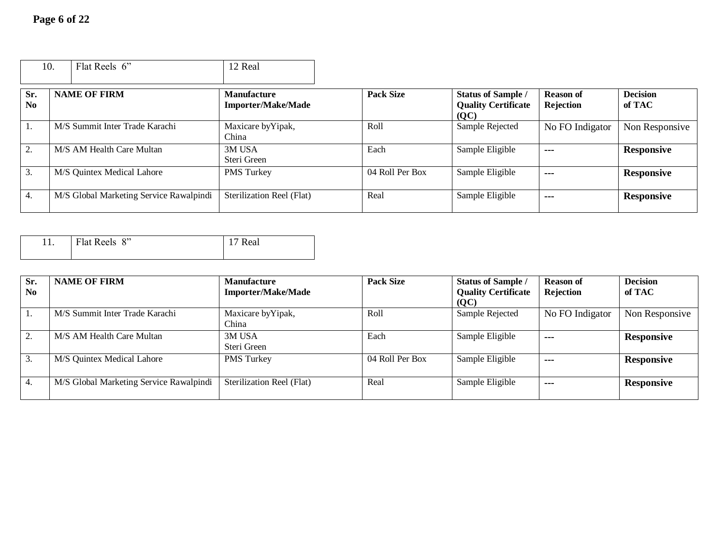|                       | 10. | Flat Reels 6"                           | 12 Real                                         |                  |                                                                 |                                      |                           |
|-----------------------|-----|-----------------------------------------|-------------------------------------------------|------------------|-----------------------------------------------------------------|--------------------------------------|---------------------------|
| Sr.<br>N <sub>0</sub> |     | <b>NAME OF FIRM</b>                     | <b>Manufacture</b><br><b>Importer/Make/Made</b> | <b>Pack Size</b> | <b>Status of Sample /</b><br><b>Quality Certificate</b><br>(QC) | <b>Reason of</b><br><b>Rejection</b> | <b>Decision</b><br>of TAC |
| 1.                    |     | M/S Summit Inter Trade Karachi          | Maxicare by Yipak,<br>China                     | Roll             | Sample Rejected                                                 | No FO Indigator                      | Non Responsive            |
| 2.                    |     | M/S AM Health Care Multan               | 3M USA<br>Steri Green                           | Each             | Sample Eligible                                                 | $- - -$                              | <b>Responsive</b>         |
| 3.                    |     | M/S Quintex Medical Lahore              | <b>PMS</b> Turkey                               | 04 Roll Per Box  | Sample Eligible                                                 | $\sim$ $\sim$ $\sim$                 | <b>Responsive</b>         |
| 4.                    |     | M/S Global Marketing Service Rawalpindi | Sterilization Reel (Flat)                       | Real             | Sample Eligible                                                 | $\sim$ $\sim$ $\sim$                 | <b>Responsive</b>         |

| Flat Reels 8" | Real |
|---------------|------|
|               |      |

| Sr.            | <b>NAME OF FIRM</b>                     | <b>Manufacture</b>        | <b>Pack Size</b> | <b>Status of Sample /</b>  | <b>Reason of</b> | <b>Decision</b>   |
|----------------|-----------------------------------------|---------------------------|------------------|----------------------------|------------------|-------------------|
| N <sub>0</sub> |                                         | <b>Importer/Make/Made</b> |                  | <b>Quality Certificate</b> | <b>Rejection</b> | of TAC            |
|                |                                         |                           |                  | (QC)                       |                  |                   |
| -1.            | M/S Summit Inter Trade Karachi          | Maxicare by Yipak,        | Roll             | Sample Rejected            | No FO Indigator  | Non Responsive    |
|                |                                         | China                     |                  |                            |                  |                   |
| 2.             | M/S AM Health Care Multan               | 3M USA                    | Each             | Sample Eligible            | $- - -$          | <b>Responsive</b> |
|                |                                         | Steri Green               |                  |                            |                  |                   |
| 3.             | M/S Quintex Medical Lahore              | <b>PMS</b> Turkey         | 04 Roll Per Box  | Sample Eligible            | $- - -$          | <b>Responsive</b> |
|                |                                         |                           |                  |                            |                  |                   |
| 4.             | M/S Global Marketing Service Rawalpindi | Sterilization Reel (Flat) | Real             | Sample Eligible            | $- - -$          | <b>Responsive</b> |
|                |                                         |                           |                  |                            |                  |                   |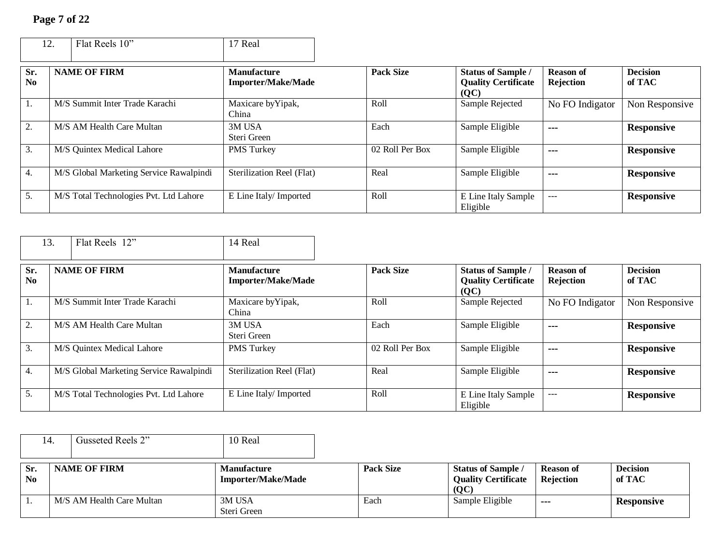|                               | Flat Reels 10"<br>12.                   | 17 Real                                         |                  |                                                                 |                               |                           |
|-------------------------------|-----------------------------------------|-------------------------------------------------|------------------|-----------------------------------------------------------------|-------------------------------|---------------------------|
| Sr.<br>$\mathbf{N}\mathbf{0}$ | <b>NAME OF FIRM</b>                     | <b>Manufacture</b><br><b>Importer/Make/Made</b> | <b>Pack Size</b> | <b>Status of Sample /</b><br><b>Quality Certificate</b><br>(QC) | <b>Reason of</b><br>Rejection | <b>Decision</b><br>of TAC |
| 1.                            | M/S Summit Inter Trade Karachi          | Maxicare by Yipak,<br>China                     | Roll             | Sample Rejected                                                 | No FO Indigator               | Non Responsive            |
| 2.                            | M/S AM Health Care Multan               | 3M USA<br>Steri Green                           | Each             | Sample Eligible                                                 | $\sim$ $\sim$ $\sim$          | <b>Responsive</b>         |
| 3.                            | M/S Quintex Medical Lahore              | <b>PMS</b> Turkey                               | 02 Roll Per Box  | Sample Eligible                                                 | $- - -$                       | <b>Responsive</b>         |
| 4.                            | M/S Global Marketing Service Rawalpindi | Sterilization Reel (Flat)                       | Real             | Sample Eligible                                                 | ---                           | <b>Responsive</b>         |
| 5.                            | M/S Total Technologies Pvt. Ltd Lahore  | E Line Italy/ Imported                          | Roll             | E Line Italy Sample<br>Eligible                                 | $---$                         | <b>Responsive</b>         |

|                               | Flat Reels 12"<br>13.                   | 14 Real                                         |                  |                                                                 |                               |                           |
|-------------------------------|-----------------------------------------|-------------------------------------------------|------------------|-----------------------------------------------------------------|-------------------------------|---------------------------|
| Sr.<br>$\mathbf{N}\mathbf{0}$ | <b>NAME OF FIRM</b>                     | <b>Manufacture</b><br><b>Importer/Make/Made</b> | <b>Pack Size</b> | <b>Status of Sample /</b><br><b>Quality Certificate</b><br>(QC) | <b>Reason of</b><br>Rejection | <b>Decision</b><br>of TAC |
| 1.                            | M/S Summit Inter Trade Karachi          | Maxicare by Yipak,<br>China                     | Roll             | Sample Rejected                                                 | No FO Indigator               | Non Responsive            |
| 2.                            | M/S AM Health Care Multan               | 3M USA<br>Steri Green                           | Each             | Sample Eligible                                                 | $- - -$                       | <b>Responsive</b>         |
| 3.                            | M/S Quintex Medical Lahore              | PMS Turkey                                      | 02 Roll Per Box  | Sample Eligible                                                 | ---                           | <b>Responsive</b>         |
| 4.                            | M/S Global Marketing Service Rawalpindi | Sterilization Reel (Flat)                       | Real             | Sample Eligible                                                 | ---                           | <b>Responsive</b>         |
| 5.                            | M/S Total Technologies Pvt. Ltd Lahore  | E Line Italy/ Imported                          | Roll             | E Line Italy Sample<br>Eligible                                 | $---$                         | <b>Responsive</b>         |

|                 | 14. | Gusseted Reels 2"         | 10 Real                                         |                  |                                                                 |                               |                           |
|-----------------|-----|---------------------------|-------------------------------------------------|------------------|-----------------------------------------------------------------|-------------------------------|---------------------------|
| Sr.<br>$\bf No$ |     | <b>NAME OF FIRM</b>       | <b>Manufacture</b><br><b>Importer/Make/Made</b> | <b>Pack Size</b> | <b>Status of Sample /</b><br><b>Quality Certificate</b><br>(QC) | <b>Reason of</b><br>Rejection | <b>Decision</b><br>of TAC |
|                 |     | M/S AM Health Care Multan | 3M USA<br>Steri Green                           | Each             | Sample Eligible                                                 | $- - -$                       | <b>Responsive</b>         |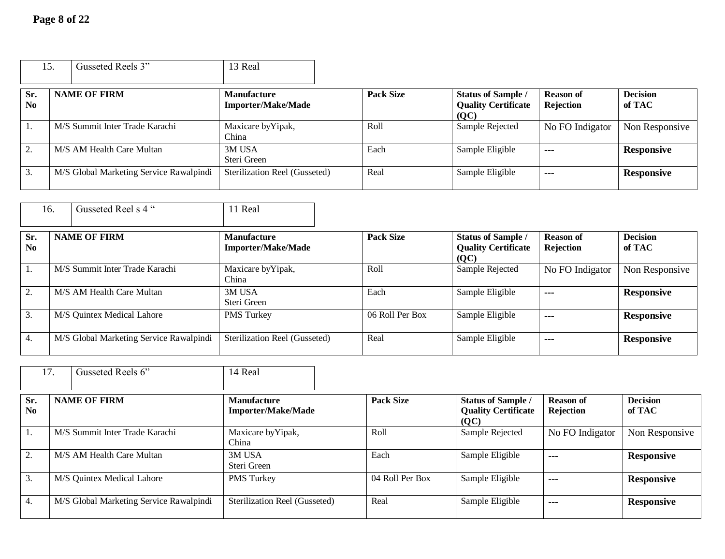|                  | 15. | Gusseted Reels 3"                       | 13 Real                                         |                  |                                                                 |                                      |                           |
|------------------|-----|-----------------------------------------|-------------------------------------------------|------------------|-----------------------------------------------------------------|--------------------------------------|---------------------------|
| Sr.<br><b>No</b> |     | <b>NAME OF FIRM</b>                     | <b>Manufacture</b><br><b>Importer/Make/Made</b> | <b>Pack Size</b> | <b>Status of Sample /</b><br><b>Quality Certificate</b><br>(QC) | <b>Reason of</b><br><b>Rejection</b> | <b>Decision</b><br>of TAC |
| 1.               |     | M/S Summit Inter Trade Karachi          | Maxicare by Yipak,<br>China                     | Roll             | Sample Rejected                                                 | No FO Indigator                      | Non Responsive            |
| 2.               |     | M/S AM Health Care Multan               | 3M USA<br>Steri Green                           | Each             | Sample Eligible                                                 | $\sim$ $\sim$ $\sim$                 | <b>Responsive</b>         |
| 3.               |     | M/S Global Marketing Service Rawalpindi | Sterilization Reel (Gusseted)                   | Real             | Sample Eligible                                                 | $- - -$                              | <b>Responsive</b>         |

|                               | 16. | Gusseted Reel s 4 "                     | 11 Real                                         |                  |                                                                 |                                      |                           |
|-------------------------------|-----|-----------------------------------------|-------------------------------------------------|------------------|-----------------------------------------------------------------|--------------------------------------|---------------------------|
| Sr.<br>$\mathbf{N}\mathbf{0}$ |     | <b>NAME OF FIRM</b>                     | <b>Manufacture</b><br><b>Importer/Make/Made</b> | <b>Pack Size</b> | <b>Status of Sample /</b><br><b>Quality Certificate</b><br>(QC) | <b>Reason of</b><br><b>Rejection</b> | <b>Decision</b><br>of TAC |
| 1.                            |     | M/S Summit Inter Trade Karachi          | Maxicare by Yipak,<br>China                     | Roll             | Sample Rejected                                                 | No FO Indigator                      | Non Responsive            |
| 2.                            |     | M/S AM Health Care Multan               | 3M USA<br>Steri Green                           | Each             | Sample Eligible                                                 | ---                                  | <b>Responsive</b>         |
| 3.                            |     | M/S Quintex Medical Lahore              | PMS Turkey                                      | 06 Roll Per Box  | Sample Eligible                                                 | ---                                  | <b>Responsive</b>         |
| 4.                            |     | M/S Global Marketing Service Rawalpindi | Sterilization Reel (Gusseted)                   | Real             | Sample Eligible                                                 | ---                                  | <b>Responsive</b>         |

|                       | 17. | Gusseted Reels 6"                       | 14 Real                                         |                  |                                                                 |                                      |                           |
|-----------------------|-----|-----------------------------------------|-------------------------------------------------|------------------|-----------------------------------------------------------------|--------------------------------------|---------------------------|
| Sr.<br>N <sub>0</sub> |     | <b>NAME OF FIRM</b>                     | <b>Manufacture</b><br><b>Importer/Make/Made</b> | <b>Pack Size</b> | <b>Status of Sample /</b><br><b>Quality Certificate</b><br>(OC) | <b>Reason of</b><br><b>Rejection</b> | <b>Decision</b><br>of TAC |
| ı.                    |     | M/S Summit Inter Trade Karachi          | Maxicare by Yipak,<br>China                     | Roll             | Sample Rejected                                                 | No FO Indigator                      | Non Responsive            |
| 2.                    |     | M/S AM Health Care Multan               | 3M USA<br>Steri Green                           | Each             | Sample Eligible                                                 | $  -$                                | <b>Responsive</b>         |
| 3.                    |     | M/S Quintex Medical Lahore              | <b>PMS</b> Turkey                               | 04 Roll Per Box  | Sample Eligible                                                 | $\sim$ $\sim$ $\sim$                 | <b>Responsive</b>         |
| 4.                    |     | M/S Global Marketing Service Rawalpindi | Sterilization Reel (Gusseted)                   | Real             | Sample Eligible                                                 | $- - -$                              | <b>Responsive</b>         |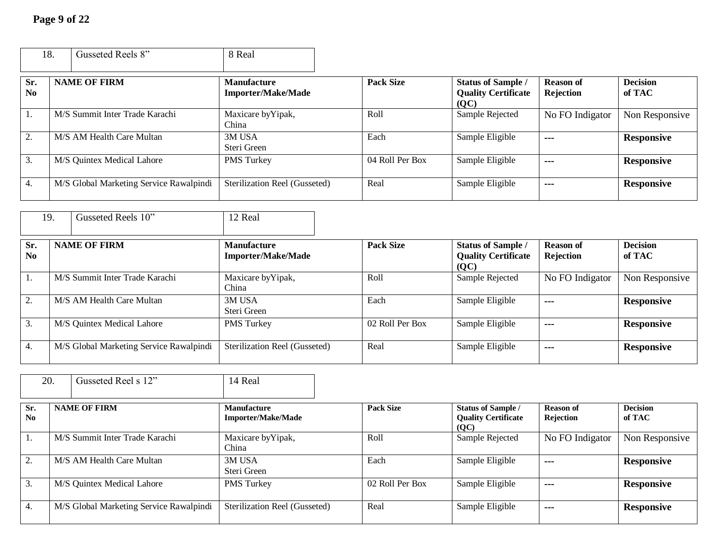Г

|                       | 18. | Gusseted Reels 8"                       | 8 Real                                          |                  |                                                                 |                               |                           |
|-----------------------|-----|-----------------------------------------|-------------------------------------------------|------------------|-----------------------------------------------------------------|-------------------------------|---------------------------|
| Sr.<br>N <sub>0</sub> |     | <b>NAME OF FIRM</b>                     | <b>Manufacture</b><br><b>Importer/Make/Made</b> | <b>Pack Size</b> | <b>Status of Sample /</b><br><b>Quality Certificate</b><br>(QC) | <b>Reason of</b><br>Rejection | <b>Decision</b><br>of TAC |
| 1.                    |     | M/S Summit Inter Trade Karachi          | Maxicare by Yipak,<br>China                     | Roll             | Sample Rejected                                                 | No FO Indigator               | Non Responsive            |
| 2.                    |     | M/S AM Health Care Multan               | 3M USA<br>Steri Green                           | Each             | Sample Eligible                                                 | ---                           | <b>Responsive</b>         |
| 3.                    |     | M/S Quintex Medical Lahore              | <b>PMS</b> Turkey                               | 04 Roll Per Box  | Sample Eligible                                                 | $- - -$                       | <b>Responsive</b>         |
| 4.                    |     | M/S Global Marketing Service Rawalpindi | Sterilization Reel (Gusseted)                   | Real             | Sample Eligible                                                 | $\sim$ $\sim$ $\sim$          | <b>Responsive</b>         |

|                       | 19. | Gusseted Reels 10"                      | 12 Real                                         |                  |                                                                 |                                      |                           |
|-----------------------|-----|-----------------------------------------|-------------------------------------------------|------------------|-----------------------------------------------------------------|--------------------------------------|---------------------------|
| Sr.<br>N <sub>0</sub> |     | <b>NAME OF FIRM</b>                     | <b>Manufacture</b><br><b>Importer/Make/Made</b> | <b>Pack Size</b> | <b>Status of Sample /</b><br><b>Quality Certificate</b><br>(OC) | <b>Reason of</b><br><b>Rejection</b> | <b>Decision</b><br>of TAC |
| 1.                    |     | M/S Summit Inter Trade Karachi          | Maxicare by Yipak,<br>China                     | Roll             | Sample Rejected                                                 | No FO Indigator                      | Non Responsive            |
| 2.                    |     | M/S AM Health Care Multan               | 3M USA<br>Steri Green                           | Each             | Sample Eligible                                                 | $- - -$                              | <b>Responsive</b>         |
| 3.                    |     | M/S Quintex Medical Lahore              | <b>PMS</b> Turkey                               | 02 Roll Per Box  | Sample Eligible                                                 | $- - -$                              | <b>Responsive</b>         |
| 4.                    |     | M/S Global Marketing Service Rawalpindi | Sterilization Reel (Gusseted)                   | Real             | Sample Eligible                                                 | $\sim$ $\sim$ $\sim$                 | <b>Responsive</b>         |

| 20.        | Gusseted Reel s 12"                     | 14 Real                                         |                  |                                                                 |                               |                           |
|------------|-----------------------------------------|-------------------------------------------------|------------------|-----------------------------------------------------------------|-------------------------------|---------------------------|
| Sr.<br>No. | <b>NAME OF FIRM</b>                     | <b>Manufacture</b><br><b>Importer/Make/Made</b> | <b>Pack Size</b> | <b>Status of Sample /</b><br><b>Ouality Certificate</b><br>(QC) | <b>Reason of</b><br>Rejection | <b>Decision</b><br>of TAC |
| 1.         | M/S Summit Inter Trade Karachi          | Maxicare by Yipak,<br>China                     | Roll             | Sample Rejected                                                 | No FO Indigator               | Non Responsive            |
| 2.         | M/S AM Health Care Multan               | 3M USA<br>Steri Green                           | Each             | Sample Eligible                                                 | $- - -$                       | <b>Responsive</b>         |
| 3.         | M/S Quintex Medical Lahore              | <b>PMS</b> Turkey                               | 02 Roll Per Box  | Sample Eligible                                                 | $\sim$ $\sim$ $\sim$          | <b>Responsive</b>         |
| 4.         | M/S Global Marketing Service Rawalpindi | Sterilization Reel (Gusseted)                   | Real             | Sample Eligible                                                 | $\sim$ $\sim$ $\sim$          | <b>Responsive</b>         |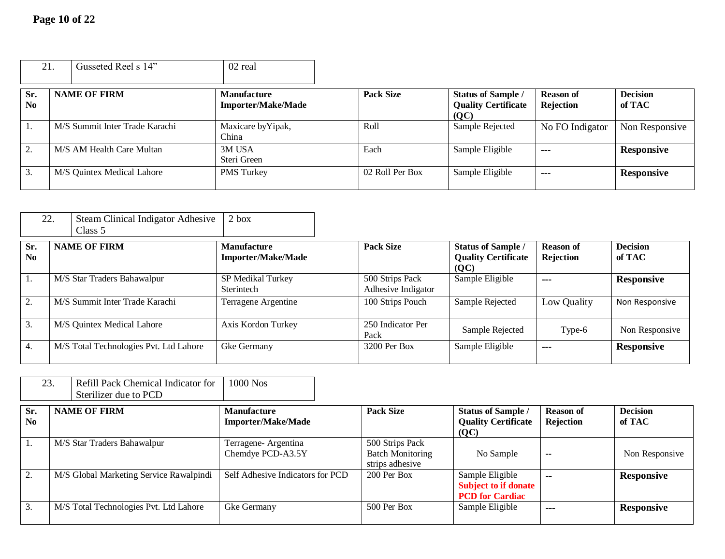| 21         |  | Gusseted Reel s 14"            | 02 real                                         |                  |                                                                 |                                      |                           |
|------------|--|--------------------------------|-------------------------------------------------|------------------|-----------------------------------------------------------------|--------------------------------------|---------------------------|
| Sr.<br>No. |  | <b>NAME OF FIRM</b>            | <b>Manufacture</b><br><b>Importer/Make/Made</b> | <b>Pack Size</b> | <b>Status of Sample /</b><br><b>Quality Certificate</b><br>(QC) | <b>Reason of</b><br><b>Rejection</b> | <b>Decision</b><br>of TAC |
| -1.        |  | M/S Summit Inter Trade Karachi | Maxicare by Yipak,<br>China                     | Roll             | Sample Rejected                                                 | No FO Indigator                      | Non Responsive            |
| 2.         |  | M/S AM Health Care Multan      | 3M USA<br>Steri Green                           | Each             | Sample Eligible                                                 | $\sim$ $\sim$ $\sim$                 | <b>Responsive</b>         |
| 3.         |  | M/S Quintex Medical Lahore     | <b>PMS</b> Turkey                               | 02 Roll Per Box  | Sample Eligible                                                 | $- - -$                              | <b>Responsive</b>         |

| 22.                   | <b>Steam Clinical Indigator Adhesive</b><br>Class 5 | $2$ box                                         |                                       |                                                                 |                               |                           |
|-----------------------|-----------------------------------------------------|-------------------------------------------------|---------------------------------------|-----------------------------------------------------------------|-------------------------------|---------------------------|
| Sr.<br>N <sub>0</sub> | <b>NAME OF FIRM</b>                                 | <b>Manufacture</b><br><b>Importer/Make/Made</b> | <b>Pack Size</b>                      | <b>Status of Sample /</b><br><b>Quality Certificate</b><br>(QC) | <b>Reason of</b><br>Rejection | <b>Decision</b><br>of TAC |
| 1.                    | M/S Star Traders Bahawalpur                         | SP Medikal Turkey<br>Sterintech                 | 500 Strips Pack<br>Adhesive Indigator | Sample Eligible                                                 | $- - -$                       | <b>Responsive</b>         |
| 2.                    | M/S Summit Inter Trade Karachi                      | Terragene Argentine                             | 100 Strips Pouch                      | Sample Rejected                                                 | Low Quality                   | Non Responsive            |
| 3.                    | M/S Quintex Medical Lahore                          | Axis Kordon Turkey                              | 250 Indicator Per<br>Pack             | Sample Rejected                                                 | Type-6                        | Non Responsive            |
| 4.                    | M/S Total Technologies Pvt. Ltd Lahore              | Gke Germany                                     | 3200 Per Box                          | Sample Eligible                                                 | $\sim$                        | <b>Responsive</b>         |

| Refill Pack Chemical Indicator for   1000 Nos |  |
|-----------------------------------------------|--|
| Sterilizer due to PCD                         |  |

| Sr.<br>$\mathbf{N}\mathbf{0}$ | <b>NAME OF FIRM</b>                     | <b>Manufacture</b><br><b>Importer/Make/Made</b> | <b>Pack Size</b>                                              | <b>Status of Sample /</b><br><b>Quality Certificate</b><br>(QC)          | <b>Reason of</b><br>Rejection | <b>Decision</b><br>of TAC |
|-------------------------------|-----------------------------------------|-------------------------------------------------|---------------------------------------------------------------|--------------------------------------------------------------------------|-------------------------------|---------------------------|
|                               | M/S Star Traders Bahawalpur             | Terragene- Argentina<br>Chemdye PCD-A3.5Y       | 500 Strips Pack<br><b>Batch Monitoring</b><br>strips adhesive | No Sample                                                                | $\overline{\phantom{a}}$      | Non Responsive            |
|                               | M/S Global Marketing Service Rawalpindi | Self Adhesive Indicators for PCD                | $200$ Per Box                                                 | Sample Eligible<br><b>Subject to if donate</b><br><b>PCD</b> for Cardiac | $\sim$                        | <b>Responsive</b>         |
|                               | M/S Total Technologies Pvt. Ltd Lahore  | Gke Germany                                     | 500 Per Box                                                   | Sample Eligible                                                          | ---                           | <b>Responsive</b>         |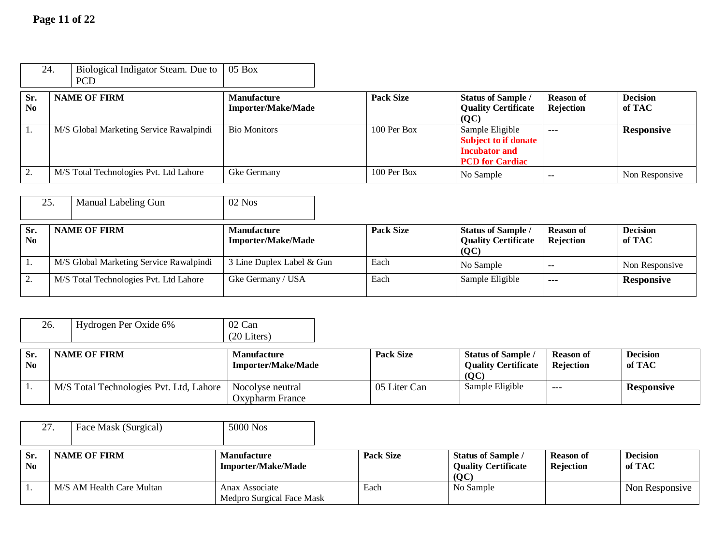| 24.                           | Biological Indigator Steam. Due to<br><b>PCD</b> | $05$ Box                                        |                  |                                                                                                  |                               |                           |
|-------------------------------|--------------------------------------------------|-------------------------------------------------|------------------|--------------------------------------------------------------------------------------------------|-------------------------------|---------------------------|
| Sr.<br>$\mathbf{N}\mathbf{0}$ | <b>NAME OF FIRM</b>                              | <b>Manufacture</b><br><b>Importer/Make/Made</b> | <b>Pack Size</b> | <b>Status of Sample /</b><br><b>Quality Certificate</b><br>(OC)                                  | <b>Reason of</b><br>Rejection | <b>Decision</b><br>of TAC |
|                               | M/S Global Marketing Service Rawalpindi          | <b>Bio Monitors</b>                             | $100$ Per Box    | Sample Eligible<br><b>Subject to if donate</b><br><b>Incubator and</b><br><b>PCD</b> for Cardiac | $---$                         | <b>Responsive</b>         |
|                               | M/S Total Technologies Pvt. Ltd Lahore           | Gke Germany                                     | $100$ Per Box    | No Sample                                                                                        | $\sim$                        | Non Responsive            |

| 25.                   | Manual Labeling Gun                     | $02$ Nos                                        |                  |                                                                 |                               |                           |
|-----------------------|-----------------------------------------|-------------------------------------------------|------------------|-----------------------------------------------------------------|-------------------------------|---------------------------|
| Sr.<br>N <sub>0</sub> | <b>NAME OF FIRM</b>                     | <b>Manufacture</b><br><b>Importer/Make/Made</b> | <b>Pack Size</b> | <b>Status of Sample /</b><br><b>Quality Certificate</b><br>(OC) | <b>Reason of</b><br>Rejection | <b>Decision</b><br>of TAC |
|                       | M/S Global Marketing Service Rawalpindi | 3 Line Duplex Label & Gun                       | Each             | No Sample                                                       | --                            | Non Responsive            |
|                       | M/S Total Technologies Pvt. Ltd Lahore  | Gke Germany / USA                               | Each             | Sample Eligible                                                 | ---                           | <b>Responsive</b>         |

| 26.                   | Hydrogen Per Oxide 6%                   | 02 Can<br>$(20$ Liters)                         |                  |                                                                 |                                      |                           |
|-----------------------|-----------------------------------------|-------------------------------------------------|------------------|-----------------------------------------------------------------|--------------------------------------|---------------------------|
| Sr.<br>N <sub>0</sub> | <b>NAME OF FIRM</b>                     | <b>Manufacture</b><br><b>Importer/Make/Made</b> | <b>Pack Size</b> | <b>Status of Sample /</b><br><b>Quality Certificate</b><br>(OC) | <b>Reason of</b><br><b>Rejection</b> | <b>Decision</b><br>of TAC |
|                       | M/S Total Technologies Pvt. Ltd, Lahore | Nocolyse neutral<br>Oxypharm France             | 05 Liter Can     | Sample Eligible                                                 | $- - -$                              | <b>Responsive</b>         |

| 27                    | Face Mask (Surgical)      | 5000 Nos                                        |                  |                                                                 |                                      |                           |
|-----------------------|---------------------------|-------------------------------------------------|------------------|-----------------------------------------------------------------|--------------------------------------|---------------------------|
| Sr.<br>N <sub>0</sub> | <b>NAME OF FIRM</b>       | <b>Manufacture</b><br><b>Importer/Make/Made</b> | <b>Pack Size</b> | <b>Status of Sample /</b><br><b>Quality Certificate</b><br>(QC) | <b>Reason of</b><br><b>Rejection</b> | <b>Decision</b><br>of TAC |
|                       | M/S AM Health Care Multan | Anax Associate<br>Medpro Surgical Face Mask     | Each             | No Sample                                                       |                                      | Non Responsive            |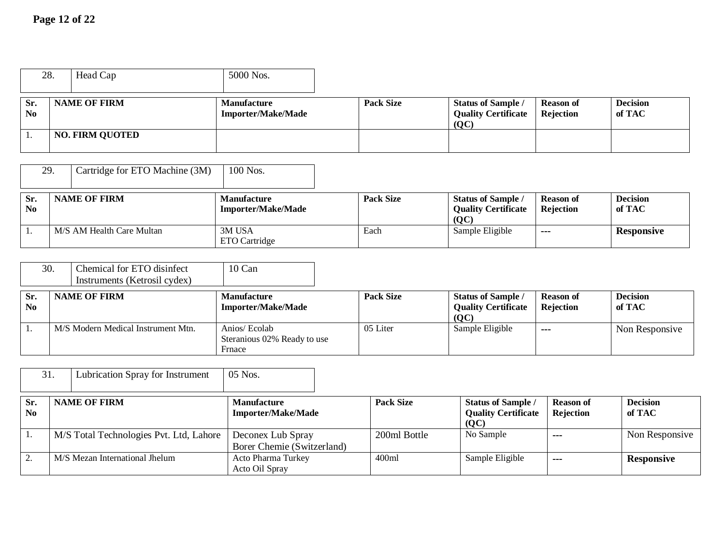|                       | 28. | Head Cap               | 5000 Nos.                                       |                  |                                                                 |                               |                           |
|-----------------------|-----|------------------------|-------------------------------------------------|------------------|-----------------------------------------------------------------|-------------------------------|---------------------------|
| Sr.<br>N <sub>o</sub> |     | <b>NAME OF FIRM</b>    | <b>Manufacture</b><br><b>Importer/Make/Made</b> | <b>Pack Size</b> | <b>Status of Sample /</b><br><b>Quality Certificate</b><br>(OC) | <b>Reason of</b><br>Rejection | <b>Decision</b><br>of TAC |
|                       |     | <b>NO. FIRM QUOTED</b> |                                                 |                  |                                                                 |                               |                           |

|                               | 29.<br>Cartridge for ETO Machine (3M) | 100 Nos.                                        |                  |                                                                 |                               |                           |
|-------------------------------|---------------------------------------|-------------------------------------------------|------------------|-----------------------------------------------------------------|-------------------------------|---------------------------|
| Sr.<br>$\mathbf{N}\mathbf{0}$ | <b>NAME OF FIRM</b>                   | <b>Manufacture</b><br><b>Importer/Make/Made</b> | <b>Pack Size</b> | <b>Status of Sample /</b><br><b>Quality Certificate</b><br>(OC) | <b>Reason of</b><br>Rejection | <b>Decision</b><br>of TAC |
|                               | M/S AM Health Care Multan             | 3M USA<br>ETO Cartridge                         | Each             | Sample Eligible                                                 | ---                           | <b>Responsive</b>         |

|                       | 30.<br>Chemical for ETO disinfect<br>Instruments (Ketrosil cydex) | $10$ Can                                               |                  |                                                                 |                               |                           |
|-----------------------|-------------------------------------------------------------------|--------------------------------------------------------|------------------|-----------------------------------------------------------------|-------------------------------|---------------------------|
| Sr.<br>N <sub>0</sub> | <b>NAME OF FIRM</b>                                               | <b>Manufacture</b><br><b>Importer/Make/Made</b>        | <b>Pack Size</b> | <b>Status of Sample /</b><br><b>Quality Certificate</b><br>(OC) | <b>Reason of</b><br>Rejection | <b>Decision</b><br>of TAC |
|                       | M/S Modern Medical Instrument Mtn.                                | Anios/ Ecolab<br>Steranious 02% Ready to use<br>Frnace | 05 Liter         | Sample Eligible                                                 | $- - -$                       | Non Responsive            |

|                       | 31.<br>Lubrication Spray for Instrument | $05$ Nos.                                       |                  |                                                                 |                               |                           |
|-----------------------|-----------------------------------------|-------------------------------------------------|------------------|-----------------------------------------------------------------|-------------------------------|---------------------------|
| Sr.<br>N <sub>0</sub> | <b>NAME OF FIRM</b>                     | <b>Manufacture</b><br><b>Importer/Make/Made</b> | <b>Pack Size</b> | <b>Status of Sample /</b><br><b>Quality Certificate</b><br>(QC) | <b>Reason of</b><br>Rejection | <b>Decision</b><br>of TAC |
|                       | M/S Total Technologies Pvt. Ltd, Lahore | Deconex Lub Spray<br>Borer Chemie (Switzerland) | 200ml Bottle     | No Sample                                                       | ---                           | Non Responsive            |
|                       | M/S Mezan International Jhelum          | Acto Pharma Turkey<br>Acto Oil Spray            | 400ml            | Sample Eligible                                                 | ---                           | <b>Responsive</b>         |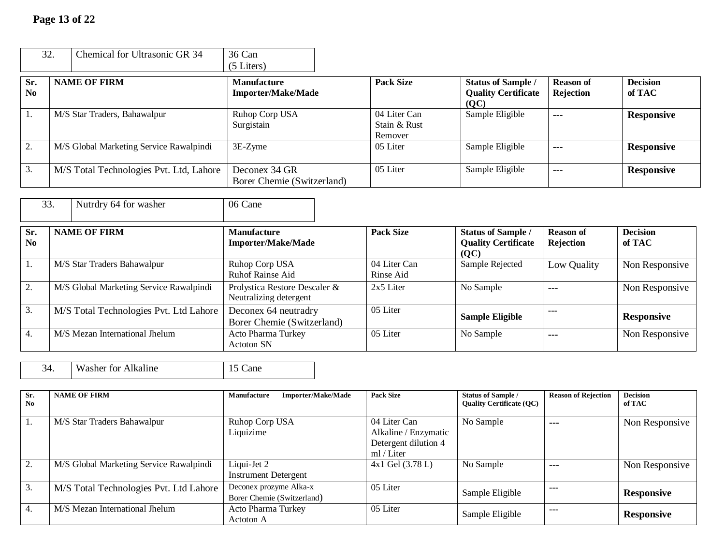| 32.                   | Chemical for Ultrasonic GR 34           | 36 Can                                          |                                         |                                                                 |                                      |                           |
|-----------------------|-----------------------------------------|-------------------------------------------------|-----------------------------------------|-----------------------------------------------------------------|--------------------------------------|---------------------------|
|                       |                                         | (5 Liters)                                      |                                         |                                                                 |                                      |                           |
| Sr.<br>N <sub>0</sub> | <b>NAME OF FIRM</b>                     | <b>Manufacture</b><br><b>Importer/Make/Made</b> | <b>Pack Size</b>                        | <b>Status of Sample /</b><br><b>Quality Certificate</b><br>(QC) | <b>Reason of</b><br><b>Rejection</b> | <b>Decision</b><br>of TAC |
|                       | M/S Star Traders, Bahawalpur            | Ruhop Corp USA<br>Surgistain                    | 04 Liter Can<br>Stain & Rust<br>Remover | Sample Eligible                                                 | $- - -$                              | <b>Responsive</b>         |
| 2.                    | M/S Global Marketing Service Rawalpindi | $3E-Zyme$                                       | 05 Liter                                | Sample Eligible                                                 | ---                                  | <b>Responsive</b>         |
| 3.                    | M/S Total Technologies Pvt. Ltd, Lahore | Deconex 34 GR<br>Borer Chemie (Switzerland)     | 05 Liter                                | Sample Eligible                                                 | ---                                  | <b>Responsive</b>         |

| 33.                           | Nutrdry 64 for washer                   | 06 Cane                                                 |                           |                                                                 |                               |                           |
|-------------------------------|-----------------------------------------|---------------------------------------------------------|---------------------------|-----------------------------------------------------------------|-------------------------------|---------------------------|
| Sr.<br>$\mathbf{N}\mathbf{0}$ | <b>NAME OF FIRM</b>                     | <b>Manufacture</b><br><b>Importer/Make/Made</b>         | <b>Pack Size</b>          | <b>Status of Sample /</b><br><b>Quality Certificate</b><br>(QC) | <b>Reason of</b><br>Rejection | <b>Decision</b><br>of TAC |
| 1.                            | M/S Star Traders Bahawalpur             | Ruhop Corp USA<br><b>Ruhof Rainse Aid</b>               | 04 Liter Can<br>Rinse Aid | Sample Rejected                                                 | Low Quality                   | Non Responsive            |
| 2.                            | M/S Global Marketing Service Rawalpindi | Prolystica Restore Descaler &<br>Neutralizing detergent | 2x5 Liter                 | No Sample                                                       | ---                           | Non Responsive            |
| 3.                            | M/S Total Technologies Pvt. Ltd Lahore  | Deconex 64 neutradry<br>Borer Chemie (Switzerland)      | 05 Liter                  | <b>Sample Eligible</b>                                          | $--$                          | <b>Responsive</b>         |
| 4.                            | M/S Mezan International Jhelum          | Acto Pharma Turkey<br><b>Actoron SN</b>                 | 05 Liter                  | No Sample                                                       | ---                           | Non Responsive            |

| Alkaline<br>W<br>√asher tor Ú<br>≺⊿ |  |  |
|-------------------------------------|--|--|
|-------------------------------------|--|--|

| Sr.<br>No. | <b>NAME OF FIRM</b>                     | <b>Importer/Make/Made</b><br><b>Manufacture</b>      | <b>Pack Size</b>                                                           | <b>Status of Sample /</b><br><b>Ouality Certificate (OC)</b> | <b>Reason of Rejection</b> | <b>Decision</b><br>of TAC |
|------------|-----------------------------------------|------------------------------------------------------|----------------------------------------------------------------------------|--------------------------------------------------------------|----------------------------|---------------------------|
| 1.         | M/S Star Traders Bahawalpur             | Ruhop Corp USA<br>Liquizime                          | 04 Liter Can<br>Alkaline / Enzymatic<br>Detergent dilution 4<br>ml / Liter | No Sample                                                    | ---                        | Non Responsive            |
| 2.         | M/S Global Marketing Service Rawalpindi | Liqui-Jet 2<br><b>Instrument Detergent</b>           | 4x1 Gel (3.78 L)                                                           | No Sample                                                    | ---                        | Non Responsive            |
| 3.         | M/S Total Technologies Pvt. Ltd Lahore  | Deconex prozyme Alka-x<br>Borer Chemie (Switzerland) | 05 Liter                                                                   | Sample Eligible                                              | ---                        | <b>Responsive</b>         |
| 4.         | M/S Mezan International Jhelum          | Acto Pharma Turkey<br>Actoton A                      | 05 Liter                                                                   | Sample Eligible                                              | $--$                       | <b>Responsive</b>         |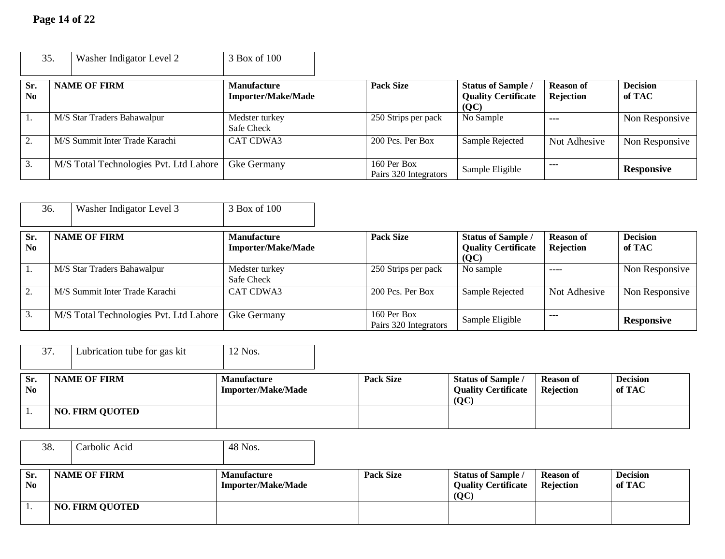| 35.                         | Washer Indigator Level 2               | 3 Box of 100                                    |                                      |                                                                 |                               |                           |
|-----------------------------|----------------------------------------|-------------------------------------------------|--------------------------------------|-----------------------------------------------------------------|-------------------------------|---------------------------|
| Sr.<br>$\bf N$ <sub>0</sub> | <b>NAME OF FIRM</b>                    | <b>Manufacture</b><br><b>Importer/Make/Made</b> | <b>Pack Size</b>                     | <b>Status of Sample /</b><br><b>Quality Certificate</b><br>(QC) | <b>Reason of</b><br>Rejection | <b>Decision</b><br>of TAC |
|                             | M/S Star Traders Bahawalpur            | Medster turkey<br>Safe Check                    | 250 Strips per pack                  | No Sample                                                       | $- - -$                       | Non Responsive            |
|                             | M/S Summit Inter Trade Karachi         | <b>CAT CDWA3</b>                                | 200 Pcs. Per Box                     | Sample Rejected                                                 | Not Adhesive                  | Non Responsive            |
| 3.                          | M/S Total Technologies Pvt. Ltd Lahore | Gke Germany                                     | 160 Per Box<br>Pairs 320 Integrators | Sample Eligible                                                 | ---                           | <b>Responsive</b>         |

|                       | Washer Indigator Level 3<br>36.        | 3 Box of 100                                    |                                      |                                                                 |                               |                           |
|-----------------------|----------------------------------------|-------------------------------------------------|--------------------------------------|-----------------------------------------------------------------|-------------------------------|---------------------------|
| Sr.<br>N <sub>0</sub> | <b>NAME OF FIRM</b>                    | <b>Manufacture</b><br><b>Importer/Make/Made</b> | <b>Pack Size</b>                     | <b>Status of Sample /</b><br><b>Quality Certificate</b><br>(QC) | <b>Reason of</b><br>Rejection | <b>Decision</b><br>of TAC |
|                       | M/S Star Traders Bahawalpur            | Medster turkey<br>Safe Check                    | 250 Strips per pack                  | No sample                                                       | $---$                         | Non Responsive            |
| 2.                    | M/S Summit Inter Trade Karachi         | <b>CAT CDWA3</b>                                | 200 Pcs. Per Box                     | Sample Rejected                                                 | Not Adhesive                  | Non Responsive            |
| 3.                    | M/S Total Technologies Pvt. Ltd Lahore | Gke Germany                                     | 160 Per Box<br>Pairs 320 Integrators | Sample Eligible                                                 | $--$                          | <b>Responsive</b>         |

|                               | 37.<br>Lubrication tube for gas kit | 12 Nos.                                         |                  |                                                                 |                               |                           |
|-------------------------------|-------------------------------------|-------------------------------------------------|------------------|-----------------------------------------------------------------|-------------------------------|---------------------------|
| Sr.<br>$\mathbf{N}\mathbf{0}$ | <b>NAME OF FIRM</b>                 | <b>Manufacture</b><br><b>Importer/Make/Made</b> | <b>Pack Size</b> | <b>Status of Sample /</b><br><b>Quality Certificate</b><br>(OC) | <b>Reason of</b><br>Rejection | <b>Decision</b><br>of TAC |
|                               | <b>NO. FIRM QUOTED</b>              |                                                 |                  |                                                                 |                               |                           |

| 38.                           | Carbolic Acid          | 48 Nos.                                         |                  |                                                                 |                               |                           |
|-------------------------------|------------------------|-------------------------------------------------|------------------|-----------------------------------------------------------------|-------------------------------|---------------------------|
| Sr.<br>$\mathbf{N}\mathbf{0}$ | <b>NAME OF FIRM</b>    | <b>Manufacture</b><br><b>Importer/Make/Made</b> | <b>Pack Size</b> | <b>Status of Sample /</b><br><b>Quality Certificate</b><br>(QC) | <b>Reason of</b><br>Rejection | <b>Decision</b><br>of TAC |
|                               | <b>NO. FIRM QUOTED</b> |                                                 |                  |                                                                 |                               |                           |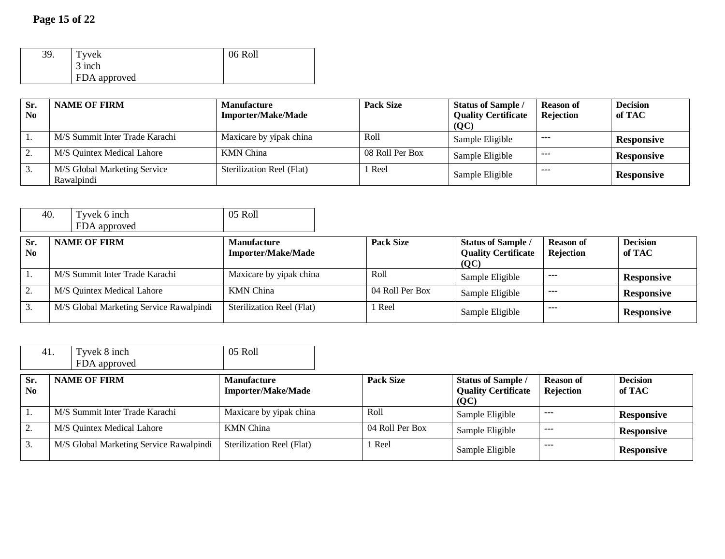| 39. | Tyvek        | 06 Roll |
|-----|--------------|---------|
|     | 3 inch       |         |
|     | FDA approved |         |

| Sr.<br>$\bf No$ | <b>NAME OF FIRM</b>                        | <b>Manufacture</b><br><b>Importer/Make/Made</b> | <b>Pack Size</b> | <b>Status of Sample /</b><br><b>Quality Certificate</b><br>(QC) | <b>Reason of</b><br><b>Rejection</b> | <b>Decision</b><br>of TAC |
|-----------------|--------------------------------------------|-------------------------------------------------|------------------|-----------------------------------------------------------------|--------------------------------------|---------------------------|
|                 | M/S Summit Inter Trade Karachi             | Maxicare by yipak china                         | Roll             | Sample Eligible                                                 | ----                                 | <b>Responsive</b>         |
|                 | M/S Quintex Medical Lahore                 | <b>KMN</b> China                                | 08 Roll Per Box  | Sample Eligible                                                 | $- - -$                              | <b>Responsive</b>         |
|                 | M/S Global Marketing Service<br>Rawalpindi | Sterilization Reel (Flat)                       | Reel             | Sample Eligible                                                 | ---                                  | <b>Responsive</b>         |

|                       | 40. | Tyvek 6 inch<br>FDA approved            | 05 Roll                                         |                  |                                                                 |                               |                           |
|-----------------------|-----|-----------------------------------------|-------------------------------------------------|------------------|-----------------------------------------------------------------|-------------------------------|---------------------------|
| Sr.<br>N <sub>0</sub> |     | <b>NAME OF FIRM</b>                     | <b>Manufacture</b><br><b>Importer/Make/Made</b> | <b>Pack Size</b> | <b>Status of Sample /</b><br><b>Quality Certificate</b><br>(OC) | <b>Reason of</b><br>Rejection | <b>Decision</b><br>of TAC |
|                       |     | M/S Summit Inter Trade Karachi          | Maxicare by yipak china                         | Roll             | Sample Eligible                                                 | $\cdots$                      | <b>Responsive</b>         |
|                       |     | M/S Quintex Medical Lahore              | <b>KMN</b> China                                | 04 Roll Per Box  | Sample Eligible                                                 | $\cdots$                      | <b>Responsive</b>         |
| 3.                    |     | M/S Global Marketing Service Rawalpindi | Sterilization Reel (Flat)                       | Reel             | Sample Eligible                                                 | $--$                          | <b>Responsive</b>         |

|           | Tyvek 8 inch<br>41.<br>FDA approved     | 05 Roll                                         |                  |                                                                 |                               |                           |
|-----------|-----------------------------------------|-------------------------------------------------|------------------|-----------------------------------------------------------------|-------------------------------|---------------------------|
| Sr.<br>No | <b>NAME OF FIRM</b>                     | <b>Manufacture</b><br><b>Importer/Make/Made</b> | <b>Pack Size</b> | <b>Status of Sample /</b><br><b>Quality Certificate</b><br>(QC) | <b>Reason of</b><br>Rejection | <b>Decision</b><br>of TAC |
|           | M/S Summit Inter Trade Karachi          | Maxicare by yipak china                         | Roll             | Sample Eligible                                                 | $- - -$                       | <b>Responsive</b>         |
|           | M/S Quintex Medical Lahore              | <b>KMN</b> China                                | 04 Roll Per Box  | Sample Eligible                                                 | $- - -$                       | <b>Responsive</b>         |
| 3.        | M/S Global Marketing Service Rawalpindi | Sterilization Reel (Flat)                       | Reel             | Sample Eligible                                                 | ---                           | <b>Responsive</b>         |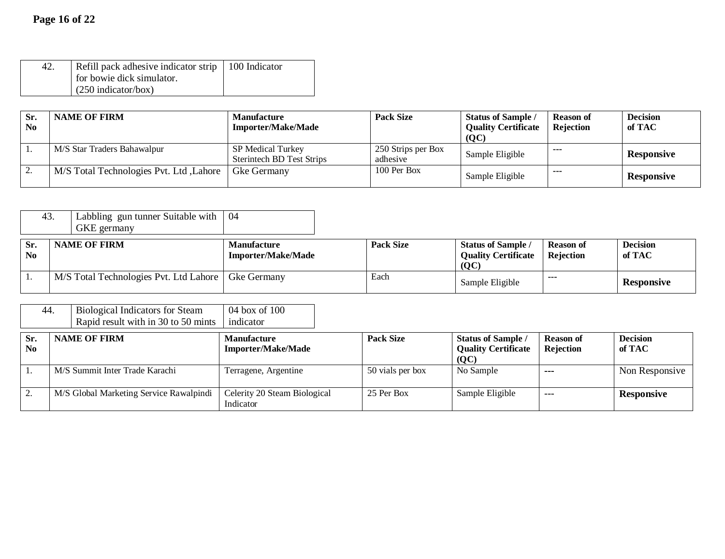| Refill pack adhesive indicator strip   100 Indicator |  |
|------------------------------------------------------|--|
| for bowie dick simulator.                            |  |
| $(250 \text{ indicator/box})$                        |  |

| Sr.<br><b>No</b> | <b>NAME OF FIRM</b>                     | <b>Manufacture</b><br><b>Importer/Make/Made</b>              | <b>Pack Size</b>               | <b>Status of Sample /</b><br><b>Quality Certificate</b><br>(QC) | <b>Reason of</b><br><b>Rejection</b> | <b>Decision</b><br>of TAC |
|------------------|-----------------------------------------|--------------------------------------------------------------|--------------------------------|-----------------------------------------------------------------|--------------------------------------|---------------------------|
|                  | M/S Star Traders Bahawalpur             | <b>SP Medical Turkey</b><br><b>Sterintech BD Test Strips</b> | 250 Strips per Box<br>adhesive | Sample Eligible                                                 | ----                                 | <b>Responsive</b>         |
| Ζ.               | M/S Total Technologies Pvt. Ltd, Lahore | Gke Germany                                                  | $100$ Per Box                  | Sample Eligible                                                 | ----                                 | <b>Responsive</b>         |

| 43.                   | Labbling gun tunner Suitable with<br>GKE germany | -04                                             |                  |                                                                 |                               |                           |
|-----------------------|--------------------------------------------------|-------------------------------------------------|------------------|-----------------------------------------------------------------|-------------------------------|---------------------------|
| Sr.<br>N <sub>0</sub> | <b>NAME OF FIRM</b>                              | <b>Manufacture</b><br><b>Importer/Make/Made</b> | <b>Pack Size</b> | <b>Status of Sample /</b><br><b>Quality Certificate</b><br>(QC) | <b>Reason of</b><br>Rejection | <b>Decision</b><br>of TAC |
|                       | M/S Total Technologies Pvt. Ltd Lahore           | Gke Germany                                     | Each             | Sample Eligible                                                 | ---                           | <b>Responsive</b>         |

| 44.                   | <b>Biological Indicators for Steam</b><br>Rapid result with in 30 to 50 mints | 04 box of 100<br>indicator                |                  |                                                                 |                               |                           |
|-----------------------|-------------------------------------------------------------------------------|-------------------------------------------|------------------|-----------------------------------------------------------------|-------------------------------|---------------------------|
| Sr.<br>N <sub>0</sub> | <b>NAME OF FIRM</b>                                                           | Manufacture<br><b>Importer/Make/Made</b>  | <b>Pack Size</b> | <b>Status of Sample /</b><br><b>Quality Certificate</b><br>(QC) | <b>Reason of</b><br>Rejection | <b>Decision</b><br>of TAC |
|                       | M/S Summit Inter Trade Karachi                                                | Terragene, Argentine                      | 50 vials per box | No Sample                                                       | $- - -$                       | Non Responsive            |
|                       | M/S Global Marketing Service Rawalpindi                                       | Celerity 20 Steam Biological<br>Indicator | 25 Per Box       | Sample Eligible                                                 | $---$                         | <b>Responsive</b>         |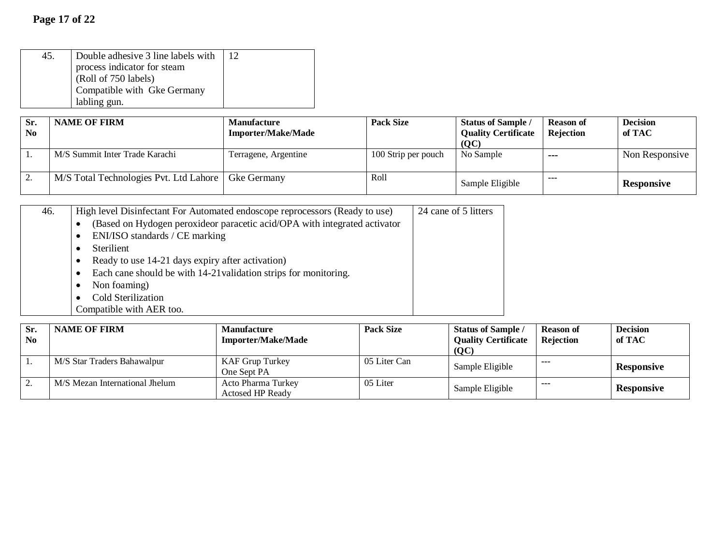| 45. | Double adhesive 3 line labels with | 12 |
|-----|------------------------------------|----|
|     | process indicator for steam        |    |
|     | (Roll of 750 labels)               |    |
|     | Compatible with Gke Germany        |    |
|     | labling gun.                       |    |

| Sr.<br>N <sub>0</sub> | <b>NAME OF FIRM</b>                                  | <b>Manufacture</b><br><b>Importer/Make/Made</b> | <b>Pack Size</b>    | <b>Status of Sample /</b><br><b>Quality Certificate</b><br>(OC) | <b>Reason of</b><br>Rejection | <b>Decision</b><br>of TAC |
|-----------------------|------------------------------------------------------|-------------------------------------------------|---------------------|-----------------------------------------------------------------|-------------------------------|---------------------------|
|                       | M/S Summit Inter Trade Karachi                       | Terragene, Argentine                            | 100 Strip per pouch | No Sample                                                       | ---                           | Non Responsive            |
|                       | M/S Total Technologies Pvt. Ltd Lahore   Gke Germany |                                                 | Roll                | Sample Eligible                                                 | ---                           | <b>Responsive</b>         |

| 46. | High level Disinfectant For Automated endoscope reprocessors (Ready to use)<br>(Based on Hydogen peroxideor paracetic acid/OPA with integrated activator<br>$\bullet$<br>ENI/ISO standards / CE marking<br>$\bullet$<br><b>Sterilient</b><br>$\bullet$<br>Ready to use 14-21 days expiry after activation)<br>$\bullet$<br>Each cane should be with 14-21 validation strips for monitoring.<br>$\bullet$<br>Non foaming)<br>Cold Sterilization | 24 cane of 5 litters |
|-----|------------------------------------------------------------------------------------------------------------------------------------------------------------------------------------------------------------------------------------------------------------------------------------------------------------------------------------------------------------------------------------------------------------------------------------------------|----------------------|
|     | Compatible with AER too.                                                                                                                                                                                                                                                                                                                                                                                                                       |                      |

| Sr.<br>N <sub>0</sub> | <b>NAME OF FIRM</b>            | <b>Manufacture</b><br><b>Importer/Make/Made</b> | <b>Pack Size</b> | Status of Sample<br><b>Quality Certificate</b><br>(QC) | <b>Reason of</b><br><b>Rejection</b> | <b>Decision</b><br>of TAC |
|-----------------------|--------------------------------|-------------------------------------------------|------------------|--------------------------------------------------------|--------------------------------------|---------------------------|
| . .                   | M/S Star Traders Bahawalpur    | KAF Grup Turkey<br>One Sept PA                  | 05 Liter Can     | Sample Eligible                                        | ---                                  | <b>Responsive</b>         |
|                       | M/S Mezan International Jhelum | Acto Pharma Turkey<br><b>Actosed HP Ready</b>   | 05 Liter         | Sample Eligible                                        | ---                                  | <b>Responsive</b>         |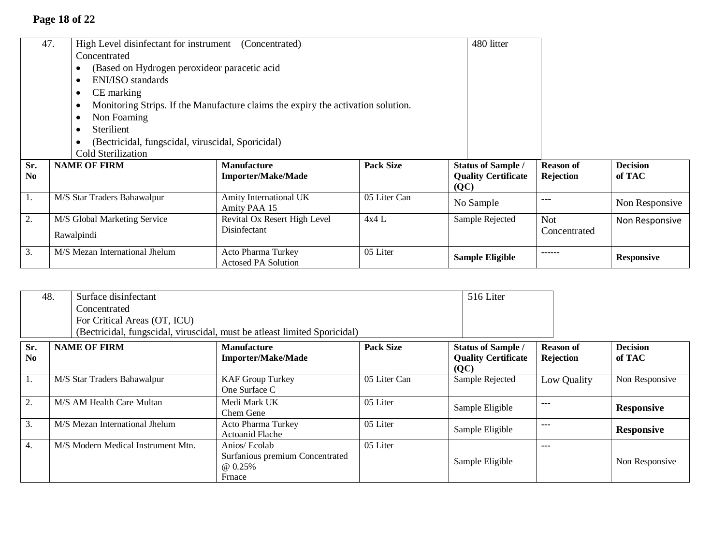# **Page 18 of 22**

|                       | 47.<br>High Level disinfectant for instrument (Concentrated)<br>Concentrated<br>(Based on Hydrogen peroxideor paracetic acid<br>ENI/ISO standards<br>$\bullet$<br>CE marking<br>Non Foaming<br>Sterilient<br>(Bectricidal, fungscidal, viruscidal, Sporicidal)<br><b>Cold Sterilization</b> | Monitoring Strips. If the Manufacture claims the expiry the activation solution. |                  | 480 litter                                                      |                               |                           |
|-----------------------|---------------------------------------------------------------------------------------------------------------------------------------------------------------------------------------------------------------------------------------------------------------------------------------------|----------------------------------------------------------------------------------|------------------|-----------------------------------------------------------------|-------------------------------|---------------------------|
| Sr.<br>N <sub>0</sub> | <b>NAME OF FIRM</b>                                                                                                                                                                                                                                                                         | <b>Manufacture</b><br><b>Importer/Make/Made</b>                                  | <b>Pack Size</b> | <b>Status of Sample /</b><br><b>Quality Certificate</b><br>(QC) | <b>Reason of</b><br>Rejection | <b>Decision</b><br>of TAC |
| 1.                    | M/S Star Traders Bahawalpur                                                                                                                                                                                                                                                                 | Amity International UK<br>Amity PAA 15                                           | 05 Liter Can     | No Sample                                                       | ---                           | Non Responsive            |
| 2.                    | M/S Global Marketing Service<br>Rawalpindi                                                                                                                                                                                                                                                  | Revital Ox Resert High Level<br>Disinfectant                                     | 4x4L             | Sample Rejected                                                 | <b>Not</b><br>Concentrated    | Non Responsive            |
| 3.                    | M/S Mezan International Jhelum                                                                                                                                                                                                                                                              | Acto Pharma Turkey<br><b>Actosed PA Solution</b>                                 | 05 Liter         | <b>Sample Eligible</b>                                          | -----                         | <b>Responsive</b>         |

| 48.                   | Surface disinfectant         |                                                                           |                  | 516 Liter                                                                 |                               |                           |
|-----------------------|------------------------------|---------------------------------------------------------------------------|------------------|---------------------------------------------------------------------------|-------------------------------|---------------------------|
|                       | Concentrated                 |                                                                           |                  |                                                                           |                               |                           |
|                       | For Critical Areas (OT, ICU) |                                                                           |                  |                                                                           |                               |                           |
|                       |                              | (Bectricidal, fungscidal, viruscidal, must be atleast limited Sporicidal) |                  |                                                                           |                               |                           |
| Sr.<br>N <sub>0</sub> | <b>NAME OF FIRM</b>          | <b>Manufacture</b><br><b>Importer/Make/Made</b>                           | <b>Pack Size</b> | <b>Status of Sample /</b><br><b>Quality Certificate</b><br>$\overline{Q}$ | <b>Reason of</b><br>Rejection | <b>Decision</b><br>of TAC |
|                       | M/S Star Traders Bahawalpur  | <b>KAF Group Turkey</b><br>One Surface C                                  | 05 Liter Can     | Sample Rejected                                                           | Low Quality                   | Non Responsive            |
| 2.                    | M/S AM Health Care Multan    | Medi Mark UK<br>Chom G                                                    | 05 Liter         | Sample Eligible                                                           | ---                           | <b>Responsive</b>         |

|                                    | Chem Gene                                                             |          | Salliple Eligible |      | Responsive        |
|------------------------------------|-----------------------------------------------------------------------|----------|-------------------|------|-------------------|
| M/S Mezan International Jhelum     | Acto Pharma Turkey<br>Actoanid Flache                                 | 05 Liter | Sample Eligible   | ---  | <b>Responsive</b> |
| M/S Modern Medical Instrument Mtn. | Anios/ Ecolab<br>Surfanious premium Concentrated<br>@ 0.25%<br>Frnace | 05 Liter | Sample Eligible   | ---- | Non Responsive    |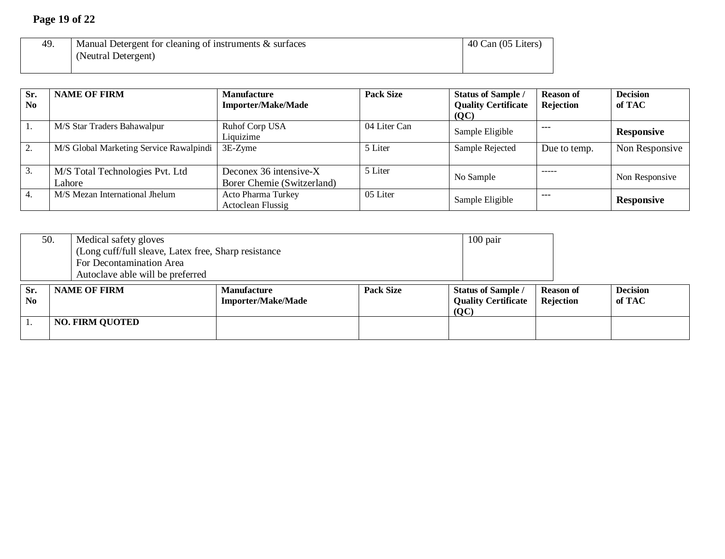## **Page 19 of 22**

| 49. | ' Manual Detergent for cleaning of instruments & surfaces | 40 Can (05 Liters) |
|-----|-----------------------------------------------------------|--------------------|
|     | (Neutral Detergent)                                       |                    |
|     |                                                           |                    |

| Sr.<br>N <sub>0</sub> | <b>NAME OF FIRM</b>                       | <b>Manufacture</b><br><b>Importer/Make/Made</b>      | <b>Pack Size</b> | <b>Status of Sample /</b><br><b>Quality Certificate</b><br>(QC) | <b>Reason of</b><br>Rejection | <b>Decision</b><br>of TAC |
|-----------------------|-------------------------------------------|------------------------------------------------------|------------------|-----------------------------------------------------------------|-------------------------------|---------------------------|
| $\perp$ .             | M/S Star Traders Bahawalpur               | Ruhof Corp USA<br>Liquizime                          | 04 Liter Can     | Sample Eligible                                                 | $- - -$                       | <b>Responsive</b>         |
| 2.                    | M/S Global Marketing Service Rawalpindi   | $3E-Z$ yme                                           | 5 Liter          | Sample Rejected                                                 | Due to temp.                  | Non Responsive            |
| 3.                    | M/S Total Technologies Pvt. Ltd<br>Lahore | Deconex 36 intensive-X<br>Borer Chemie (Switzerland) | 5 Liter          | No Sample                                                       | $\cdots$                      | Non Responsive            |
|                       | M/S Mezan International Jhelum            | Acto Pharma Turkey<br>Actoclean Flussig              | 05 Liter         | Sample Eligible                                                 | $- - -$                       | <b>Responsive</b>         |

|                             | 50.<br>Medical safety gloves<br>(Long cuff/full sleave, Latex free, Sharp resistance<br>For Decontamination Area<br>Autoclave able will be preferred |                                                 |                  | $100$ pair                                                      |                               |                           |
|-----------------------------|------------------------------------------------------------------------------------------------------------------------------------------------------|-------------------------------------------------|------------------|-----------------------------------------------------------------|-------------------------------|---------------------------|
| Sr.<br>$\bf N$ <sub>0</sub> | <b>NAME OF FIRM</b>                                                                                                                                  | <b>Manufacture</b><br><b>Importer/Make/Made</b> | <b>Pack Size</b> | <b>Status of Sample /</b><br><b>Quality Certificate</b><br>(QC) | <b>Reason of</b><br>Rejection | <b>Decision</b><br>of TAC |
|                             | <b>NO. FIRM QUOTED</b>                                                                                                                               |                                                 |                  |                                                                 |                               |                           |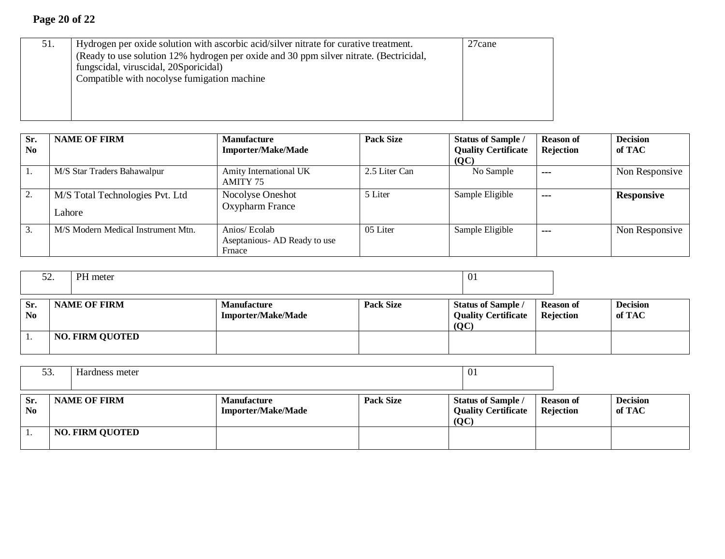| 51. | Hydrogen per oxide solution with ascorbic acid/silver nitrate for curative treatment.  | 27 <sub>cane</sub> |
|-----|----------------------------------------------------------------------------------------|--------------------|
|     | (Ready to use solution 12% hydrogen per oxide and 30 ppm silver nitrate. (Bectricidal, |                    |
|     | fungscidal, viruscidal, 20Sporicidal)                                                  |                    |
|     | Compatible with nocolyse fumigation machine                                            |                    |
|     |                                                                                        |                    |
|     |                                                                                        |                    |
|     |                                                                                        |                    |

| Sr.<br>N <sub>0</sub> | <b>NAME OF FIRM</b>                       | <b>Manufacture</b><br><b>Importer/Make/Made</b>        | <b>Pack Size</b> | <b>Status of Sample /</b><br><b>Quality Certificate</b><br>(QC) | <b>Reason of</b><br>Rejection | <b>Decision</b><br>of TAC |
|-----------------------|-------------------------------------------|--------------------------------------------------------|------------------|-----------------------------------------------------------------|-------------------------------|---------------------------|
| 1.                    | M/S Star Traders Bahawalpur               | Amity International UK<br>AMITY 75                     | 2.5 Liter Can    | No Sample                                                       | $\sim$ $\sim$ $\sim$          | Non Responsive            |
| 2.                    | M/S Total Technologies Pvt. Ltd<br>Lahore | Nocolyse Oneshot<br>Oxypharm France                    | 5 Liter          | Sample Eligible                                                 | ---                           | <b>Responsive</b>         |
| 3.                    | M/S Modern Medical Instrument Mtn.        | Anios/ Ecolab<br>Aseptanious AD Ready to use<br>Frnace | 05 Liter         | Sample Eligible                                                 | ---                           | Non Responsive            |

|                       | PH meter<br>52.        |                                                 |                  | 01                                                              |                               |                           |
|-----------------------|------------------------|-------------------------------------------------|------------------|-----------------------------------------------------------------|-------------------------------|---------------------------|
| Sr.<br>N <sub>0</sub> | <b>NAME OF FIRM</b>    | <b>Manufacture</b><br><b>Importer/Make/Made</b> | <b>Pack Size</b> | <b>Status of Sample /</b><br><b>Quality Certificate</b><br>(OC) | <b>Reason of</b><br>Rejection | <b>Decision</b><br>of TAC |
| . .                   | <b>NO. FIRM QUOTED</b> |                                                 |                  |                                                                 |                               |                           |

|                               | 53.<br>Hardness meter |                        |                                                 | -01              |                                                                 |                               |                           |
|-------------------------------|-----------------------|------------------------|-------------------------------------------------|------------------|-----------------------------------------------------------------|-------------------------------|---------------------------|
| Sr.<br>$\mathbf{N}\mathbf{0}$ |                       | <b>NAME OF FIRM</b>    | <b>Manufacture</b><br><b>Importer/Make/Made</b> | <b>Pack Size</b> | <b>Status of Sample /</b><br><b>Quality Certificate</b><br>[OC] | <b>Reason of</b><br>Rejection | <b>Decision</b><br>of TAC |
|                               |                       | <b>NO. FIRM QUOTED</b> |                                                 |                  |                                                                 |                               |                           |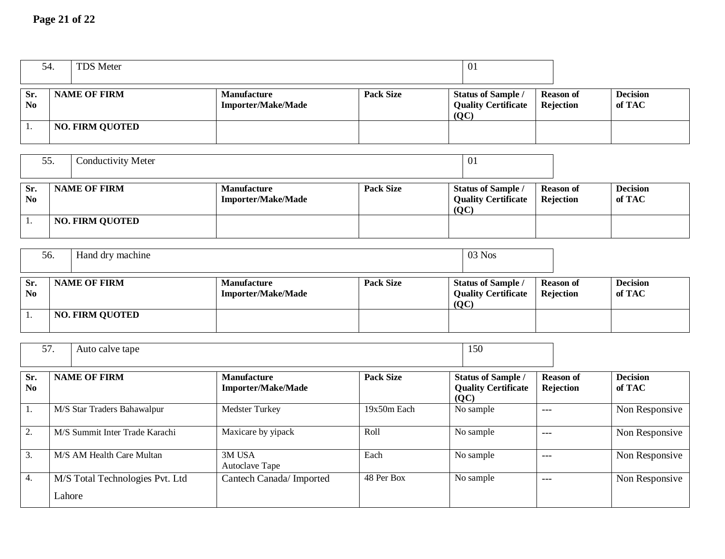## **Page 21 of 22**

| 54.                   | <b>TDS Meter</b>               |                                                 |                          | 01                                                              |                               |                           |
|-----------------------|--------------------------------|-------------------------------------------------|--------------------------|-----------------------------------------------------------------|-------------------------------|---------------------------|
|                       |                                |                                                 |                          |                                                                 |                               |                           |
| Sr.<br>N <sub>0</sub> | <b>NAME OF FIRM</b>            | <b>Manufacture</b><br><b>Importer/Make/Made</b> | <b>Pack Size</b>         | Status of Sample /<br><b>Quality Certificate</b><br>(OC)        | <b>Reason of</b><br>Rejection | <b>Decision</b><br>of TAC |
| 1.                    | <b>NO. FIRM QUOTED</b>         |                                                 |                          |                                                                 |                               |                           |
| 55.                   | <b>Conductivity Meter</b>      |                                                 |                          | 01                                                              |                               |                           |
| Sr.<br>N <sub>0</sub> | <b>NAME OF FIRM</b>            | <b>Manufacture</b><br><b>Importer/Make/Made</b> | <b>Pack Size</b>         | <b>Status of Sample /</b><br><b>Quality Certificate</b><br>(QC) | <b>Reason of</b><br>Rejection | <b>Decision</b><br>of TAC |
| 1.                    | <b>NO. FIRM QUOTED</b>         |                                                 |                          |                                                                 |                               |                           |
| 56.                   | Hand dry machine               |                                                 |                          | 03 Nos                                                          |                               |                           |
|                       |                                |                                                 |                          |                                                                 |                               |                           |
| Sr.<br>No             | <b>NAME OF FIRM</b>            | <b>Manufacture</b><br><b>Importer/Make/Made</b> | <b>Pack Size</b>         | <b>Status of Sample /</b><br><b>Quality Certificate</b>         | <b>Reason of</b><br>Rejection | <b>Decision</b><br>of TAC |
| 1.                    | <b>NO. FIRM QUOTED</b>         |                                                 |                          | (QC)                                                            |                               |                           |
| 57.                   | Auto calve tape                |                                                 |                          | 150                                                             |                               |                           |
| Sr.<br>No             | <b>NAME OF FIRM</b>            | <b>Manufacture</b><br><b>Importer/Make/Made</b> | <b>Pack Size</b>         | <b>Status of Sample /</b><br><b>Quality Certificate</b>         | <b>Reason of</b><br>Rejection | <b>Decision</b><br>of TAC |
| 1.                    | M/S Star Traders Bahawalpur    | Medster Turkey                                  | $\overline{19x50m}$ Each | (QC)<br>No sample                                               | $---$                         | Non Responsive            |
| 2.                    | M/S Summit Inter Trade Karachi | Maxicare by yipack                              | Roll                     | No sample                                                       | $---$                         | Non Responsive            |
| 3.                    | M/S AM Health Care Multan      | 3M USA<br>Autoclave Tape                        | Each                     | No sample                                                       | $---$                         | Non Responsive            |